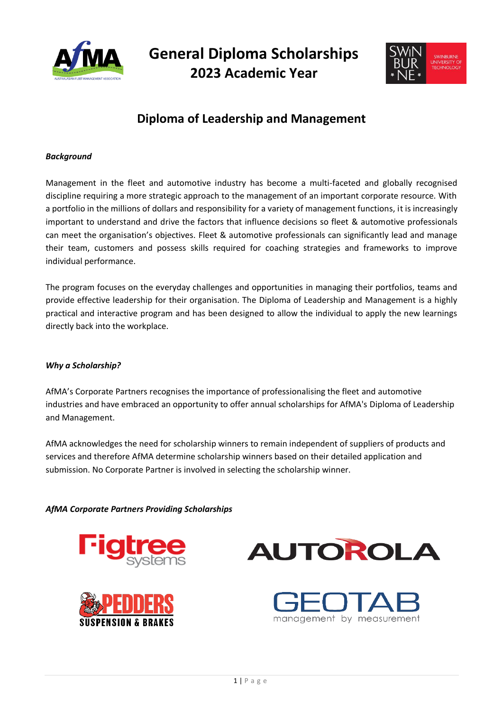

**General Diploma Scholarships 2023 Academic Year**



## **Diploma of Leadership and Management**

#### *Background*

Management in the fleet and automotive industry has become a multi-faceted and globally recognised discipline requiring a more strategic approach to the management of an important corporate resource. With a portfolio in the millions of dollars and responsibility for a variety of management functions, it is increasingly important to understand and drive the factors that influence decisions so fleet & automotive professionals can meet the organisation's objectives. Fleet & automotive professionals can significantly lead and manage their team, customers and possess skills required for coaching strategies and frameworks to improve individual performance.

The program focuses on the everyday challenges and opportunities in managing their portfolios, teams and provide effective leadership for their organisation. The Diploma of Leadership and Management is a highly practical and interactive program and has been designed to allow the individual to apply the new learnings directly back into the workplace.

#### *Why a Scholarship?*

AfMA's Corporate Partners recognises the importance of professionalising the fleet and automotive industries and have embraced an opportunity to offer annual scholarships for AfMA's Diploma of Leadership and Management.

AfMA acknowledges the need for scholarship winners to remain independent of suppliers of products and services and therefore AfMA determine scholarship winners based on their detailed application and submission. No Corporate Partner is involved in selecting the scholarship winner.

*AfMA Corporate Partners Providing Scholarships*







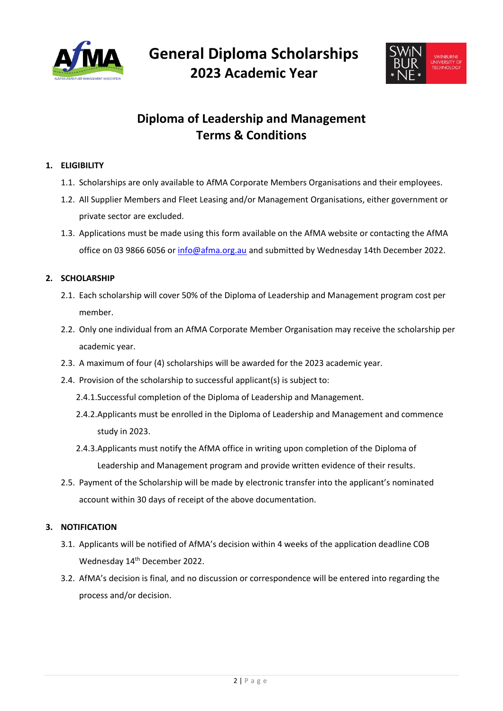

**General Diploma Scholarships 2023 Academic Year**



## **Diploma of Leadership and Management Terms & Conditions**

### **1. ELIGIBILITY**

- 1.1. Scholarships are only available to AfMA Corporate Members Organisations and their employees.
- 1.2. All Supplier Members and Fleet Leasing and/or Management Organisations, either government or private sector are excluded.
- 1.3. Applications must be made using this form available on the AfMA website or contacting the AfMA office on 03 9866 6056 o[r info@afma.org.au](mailto:info@afma.org.au) and submitted by Wednesday 14th December 2022.

### **2. SCHOLARSHIP**

- 2.1. Each scholarship will cover 50% of the Diploma of Leadership and Management program cost per member.
- 2.2. Only one individual from an AfMA Corporate Member Organisation may receive the scholarship per academic year.
- 2.3. A maximum of four (4) scholarships will be awarded for the 2023 academic year.
- 2.4. Provision of the scholarship to successful applicant(s) is subject to:
	- 2.4.1.Successful completion of the Diploma of Leadership and Management.
	- 2.4.2.Applicants must be enrolled in the Diploma of Leadership and Management and commence study in 2023.
	- 2.4.3.Applicants must notify the AfMA office in writing upon completion of the Diploma of Leadership and Management program and provide written evidence of their results.
- 2.5. Payment of the Scholarship will be made by electronic transfer into the applicant's nominated account within 30 days of receipt of the above documentation.

#### **3. NOTIFICATION**

- 3.1. Applicants will be notified of AfMA's decision within 4 weeks of the application deadline COB Wednesday 14<sup>th</sup> December 2022.
- 3.2. AfMA's decision is final, and no discussion or correspondence will be entered into regarding the process and/or decision.